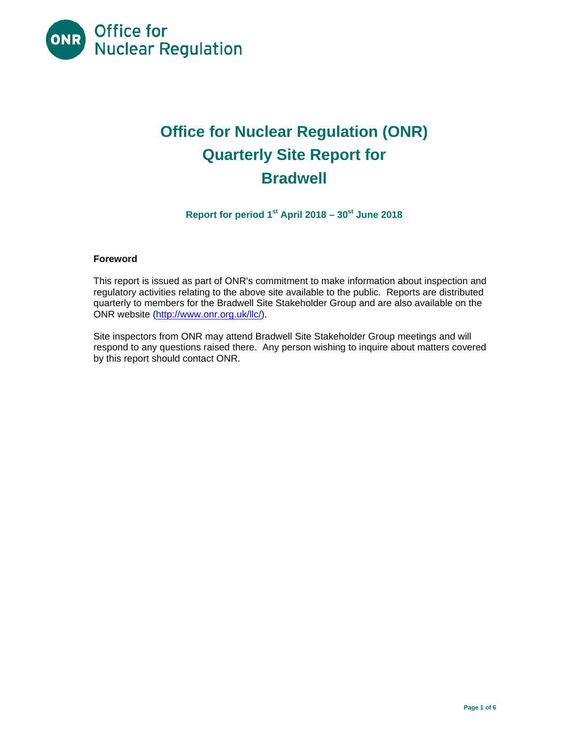

# **Office for Nuclear Regulation (ONR) Quarterly Site Report for Bradwell**

Report for period 1<sup>st</sup> April 2018 – 30<sup>st</sup> June 2018

## **Foreword**

This report is issued as part of ONR's commitment to make information about inspection and regulatory activities relating to the above site available to the public. Reports are distributed quarterly to members for the Bradwell Site Stakeholder Group and are also available on the ONR website (http://www.onr.org.uk/llc/).

Site inspectors from ONR may attend Bradwell Site Stakeholder Group meetings and will respond to any questions raised there. Any person wishing to inquire about matters covered by this report should contact ONR.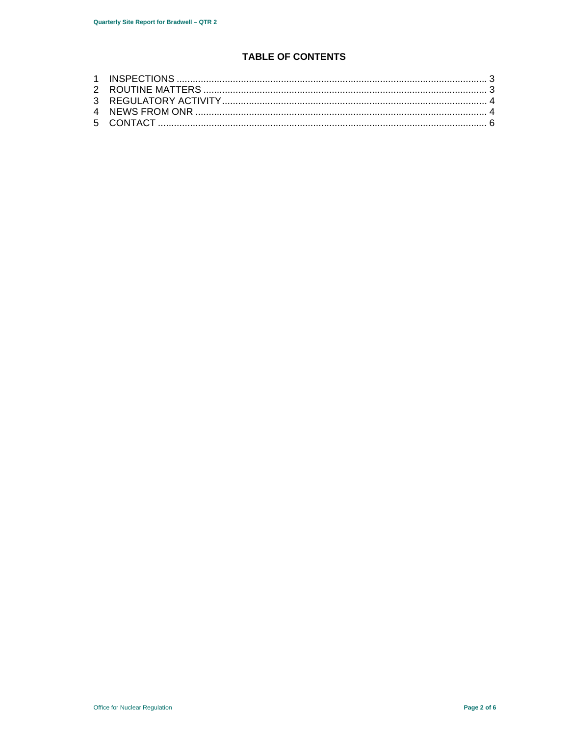## **TABLE OF CONTENTS**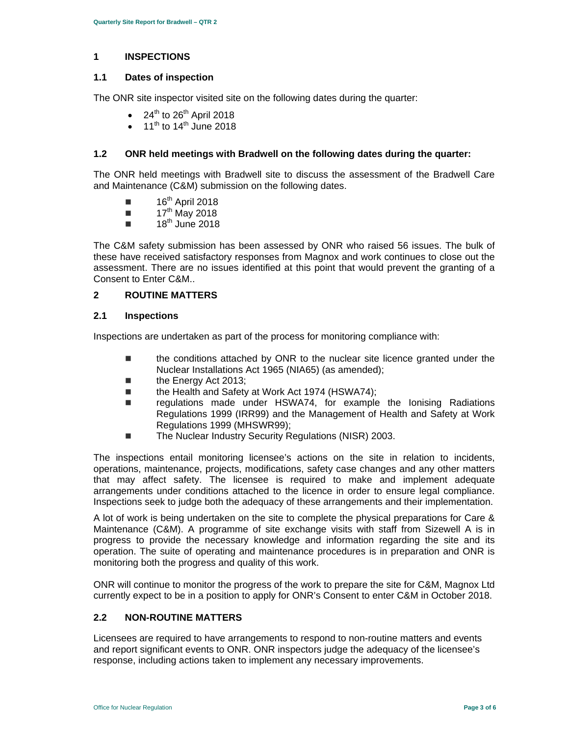## **1 INSPECTIONS**

## **1.1 Dates of inspection**

The ONR site inspector visited site on the following dates during the quarter:

- $24^{\text{th}}$  to  $26^{\text{th}}$  April 2018
- 11<sup>th</sup> to 14<sup>th</sup> June 2018

## **1.2 ONR held meetings with Bradwell on the following dates during the quarter:**

The ONR held meetings with Bradwell site to discuss the assessment of the Bradwell Care and Maintenance (C&M) submission on the following dates.

- $\blacksquare$  16<sup>th</sup> April 2018
- $\blacksquare$  17<sup>th</sup> May 2018
- $\blacksquare$  18<sup>th</sup> June 2018

The C&M safety submission has been assessed by ONR who raised 56 issues. The bulk of these have received satisfactory responses from Magnox and work continues to close out the assessment. There are no issues identified at this point that would prevent the granting of a Consent to Enter C&M..

## **2 ROUTINE MATTERS**

## **2.1 Inspections**

Inspections are undertaken as part of the process for monitoring compliance with:

- the conditions attached by ONR to the nuclear site licence granted under the Nuclear Installations Act 1965 (NIA65) (as amended);
- the Energy Act 2013;
- the Health and Safety at Work Act 1974 (HSWA74);
- regulations made under HSWA74, for example the Ionising Radiations Regulations 1999 (IRR99) and the Management of Health and Safety at Work Regulations 1999 (MHSWR99);
- The Nuclear Industry Security Regulations (NISR) 2003.

The inspections entail monitoring licensee's actions on the site in relation to incidents, operations, maintenance, projects, modifications, safety case changes and any other matters that may affect safety. The licensee is required to make and implement adequate arrangements under conditions attached to the licence in order to ensure legal compliance. Inspections seek to judge both the adequacy of these arrangements and their implementation.

A lot of work is being undertaken on the site to complete the physical preparations for Care & Maintenance (C&M). A programme of site exchange visits with staff from Sizewell A is in progress to provide the necessary knowledge and information regarding the site and its operation. The suite of operating and maintenance procedures is in preparation and ONR is monitoring both the progress and quality of this work.

ONR will continue to monitor the progress of the work to prepare the site for C&M, Magnox Ltd currently expect to be in a position to apply for ONR's Consent to enter C&M in October 2018.

## **2.2 NON-ROUTINE MATTERS**

Licensees are required to have arrangements to respond to non-routine matters and events and report significant events to ONR. ONR inspectors judge the adequacy of the licensee's response, including actions taken to implement any necessary improvements.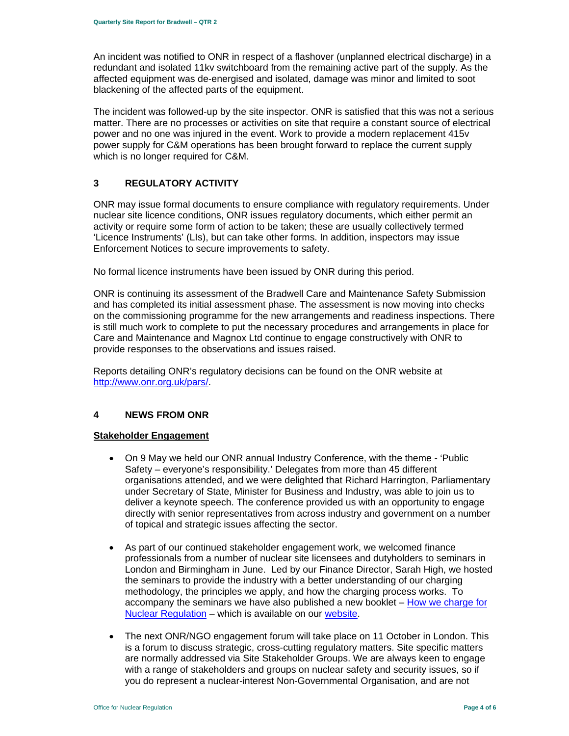An incident was notified to ONR in respect of a flashover (unplanned electrical discharge) in a redundant and isolated 11kv switchboard from the remaining active part of the supply. As the affected equipment was de-energised and isolated, damage was minor and limited to soot blackening of the affected parts of the equipment.

The incident was followed-up by the site inspector. ONR is satisfied that this was not a serious matter. There are no processes or activities on site that require a constant source of electrical power and no one was injured in the event. Work to provide a modern replacement 415v power supply for C&M operations has been brought forward to replace the current supply which is no longer required for C&M.

## **3 REGULATORY ACTIVITY**

ONR may issue formal documents to ensure compliance with regulatory requirements. Under nuclear site licence conditions, ONR issues regulatory documents, which either permit an activity or require some form of action to be taken; these are usually collectively termed 'Licence Instruments' (LIs), but can take other forms. In addition, inspectors may issue Enforcement Notices to secure improvements to safety.

No formal licence instruments have been issued by ONR during this period.

ONR is continuing its assessment of the Bradwell Care and Maintenance Safety Submission and has completed its initial assessment phase. The assessment is now moving into checks on the commissioning programme for the new arrangements and readiness inspections. There is still much work to complete to put the necessary procedures and arrangements in place for Care and Maintenance and Magnox Ltd continue to engage constructively with ONR to provide responses to the observations and issues raised.

Reports detailing ONR's regulatory decisions can be found on the ONR website at http://www.onr.org.uk/pars/.

## **4 NEWS FROM ONR**

## **Stakeholder Engagement**

- On 9 May we held our ONR annual Industry Conference, with the theme 'Public Safety – everyone's responsibility.' Delegates from more than 45 different organisations attended, and we were delighted that Richard Harrington, Parliamentary under Secretary of State, Minister for Business and Industry, was able to join us to deliver a keynote speech. The conference provided us with an opportunity to engage directly with senior representatives from across industry and government on a number of topical and strategic issues affecting the sector.
- As part of our continued stakeholder engagement work, we welcomed finance professionals from a number of nuclear site licensees and dutyholders to seminars in London and Birmingham in June. Led by our Finance Director, Sarah High, we hosted the seminars to provide the industry with a better understanding of our charging methodology, the principles we apply, and how the charging process works. To accompany the seminars we have also published a new booklet - How we charge for Nuclear Regulation – which is available on our website.
- The next ONR/NGO engagement forum will take place on 11 October in London. This is a forum to discuss strategic, cross-cutting regulatory matters. Site specific matters are normally addressed via Site Stakeholder Groups. We are always keen to engage with a range of stakeholders and groups on nuclear safety and security issues, so if you do represent a nuclear-interest Non-Governmental Organisation, and are not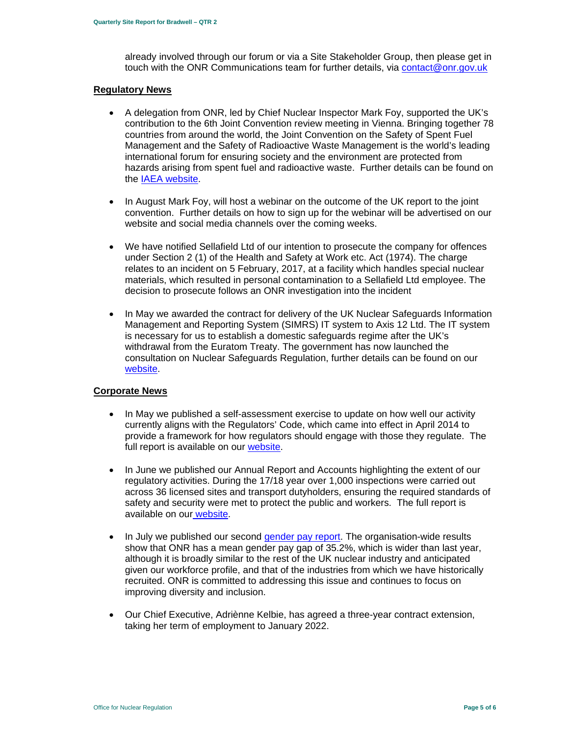already involved through our forum or via a Site Stakeholder Group, then please get in touch with the ONR Communications team for further details, via contact@onr.gov.uk

#### **Regulatory News**

- A delegation from ONR, led by Chief Nuclear Inspector Mark Foy, supported the UK's contribution to the 6th Joint Convention review meeting in Vienna. Bringing together 78 countries from around the world, the Joint Convention on the Safety of Spent Fuel Management and the Safety of Radioactive Waste Management is the world's leading international forum for ensuring society and the environment are protected from hazards arising from spent fuel and radioactive waste. Further details can be found on the IAEA website.
- In August Mark Foy, will host a webinar on the outcome of the UK report to the joint convention. Further details on how to sign up for the webinar will be advertised on our website and social media channels over the coming weeks.
- We have notified Sellafield Ltd of our intention to prosecute the company for offences under Section 2 (1) of the Health and Safety at Work etc. Act (1974). The charge relates to an incident on 5 February, 2017, at a facility which handles special nuclear materials, which resulted in personal contamination to a Sellafield Ltd employee. The decision to prosecute follows an ONR investigation into the incident
- In May we awarded the contract for delivery of the UK Nuclear Safeguards Information Management and Reporting System (SIMRS) IT system to Axis 12 Ltd. The IT system is necessary for us to establish a domestic safeguards regime after the UK's withdrawal from the Euratom Treaty. The government has now launched the consultation on Nuclear Safeguards Regulation, further details can be found on our website.

## **Corporate News**

- In May we published a self-assessment exercise to update on how well our activity currently aligns with the Regulators' Code, which came into effect in April 2014 to provide a framework for how regulators should engage with those they regulate. The full report is available on our website.
- In June we published our Annual Report and Accounts highlighting the extent of our regulatory activities. During the 17/18 year over 1,000 inspections were carried out across 36 licensed sites and transport dutyholders, ensuring the required standards of safety and security were met to protect the public and workers. The full report is available on our website.
- In July we published our second gender pay report. The organisation-wide results show that ONR has a mean gender pay gap of 35.2%, which is wider than last year, although it is broadly similar to the rest of the UK nuclear industry and anticipated given our workforce profile, and that of the industries from which we have historically recruited. ONR is committed to addressing this issue and continues to focus on improving diversity and inclusion.
- Our Chief Executive, Adriènne Kelbie, has agreed a three-year contract extension, taking her term of employment to January 2022.